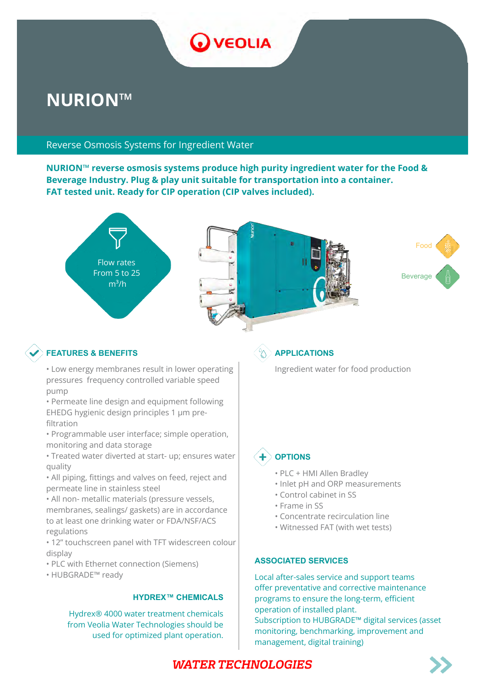

# **NURION™**

### Reverse Osmosis Systems for Ingredient Water

**NURION™ reverse osmosis systems produce high purity ingredient water for the Food & Beverage Industry. Plug & play unit suitable for transportation into a container. FAT tested unit. Ready for CIP operation (CIP valves included).**



# **FEATURES & BENEFITS APPLICATIONS**

- Low energy membranes result in lower operating pressures frequency controlled variable speed pump
- Permeate line design and equipment following EHEDG hygienic design principles 1 μm prefiltration
- Programmable user interface; simple operation, monitoring and data storage
- Treated water diverted at start- up; ensures water quality
- All piping, fittings and valves on feed, reject and permeate line in stainless steel
- All non- metallic materials (pressure vessels, membranes, sealings/ gaskets) are in accordance to at least one drinking water or FDA/NSF/ACS regulations
- 12" touchscreen panel with TFT widescreen colour display
- PLC with Ethernet connection (Siemens)
- HUBGRADE™ ready

#### **HYDREX™ CHEMICALS**

Hydrex® 4000 water treatment chemicals from Veolia Water Technologies should be used for optimized plant operation.

Ingredient water for food production



#### **OPTIONS**

- PLC + HMI Allen Bradley
- Inlet pH and ORP measurements
- Control cabinet in SS
- Frame in SS
- Concentrate recirculation line
- Witnessed FAT (with wet tests)

#### **ASSOCIATED SERVICES**

Local after-sales service and support teams offer preventative and corrective maintenance programs to ensure the long-term, efficient operation of installed plant. Subscription to HUBGRADE™ digital services (asset monitoring, benchmarking, improvement and management, digital training)

# **WATER TECHNOLOGIES**